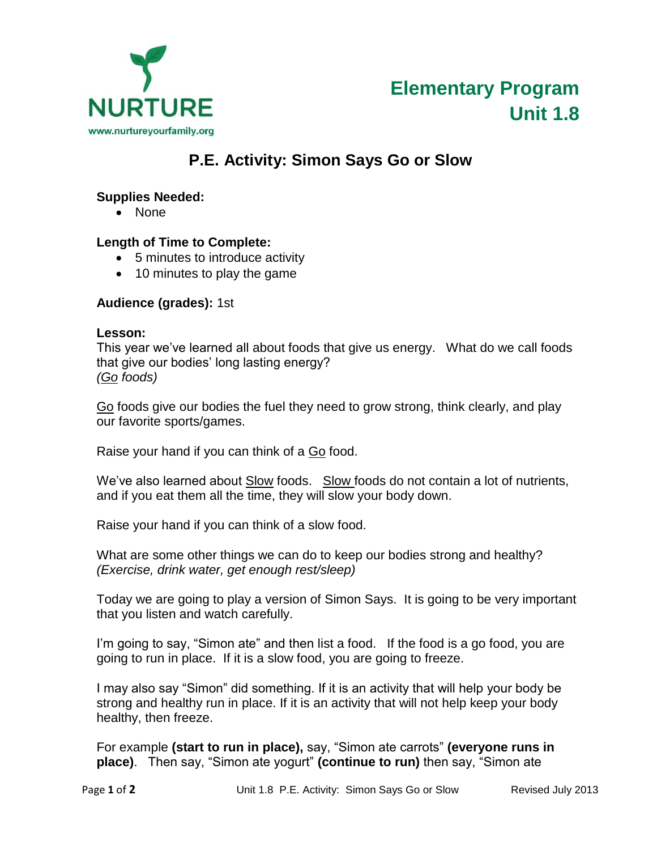

# **P.E. Activity: Simon Says Go or Slow**

### **Supplies Needed:**

• None

# **Length of Time to Complete:**

- 5 minutes to introduce activity
- 10 minutes to play the game

# **Audience (grades):** 1st

#### **Lesson:**

This year we've learned all about foods that give us energy. What do we call foods that give our bodies' long lasting energy? *(Go foods)*

Go foods give our bodies the fuel they need to grow strong, think clearly, and play our favorite sports/games.

Raise your hand if you can think of a Go food.

We've also learned about Slow foods. Slow foods do not contain a lot of nutrients, and if you eat them all the time, they will slow your body down.

Raise your hand if you can think of a slow food.

What are some other things we can do to keep our bodies strong and healthy? *(Exercise, drink water, get enough rest/sleep)*

Today we are going to play a version of Simon Says. It is going to be very important that you listen and watch carefully.

I'm going to say, "Simon ate" and then list a food. If the food is a go food, you are going to run in place. If it is a slow food, you are going to freeze.

I may also say "Simon" did something. If it is an activity that will help your body be strong and healthy run in place. If it is an activity that will not help keep your body healthy, then freeze.

For example **(start to run in place),** say, "Simon ate carrots" **(everyone runs in place)**. Then say, "Simon ate yogurt" **(continue to run)** then say, "Simon ate